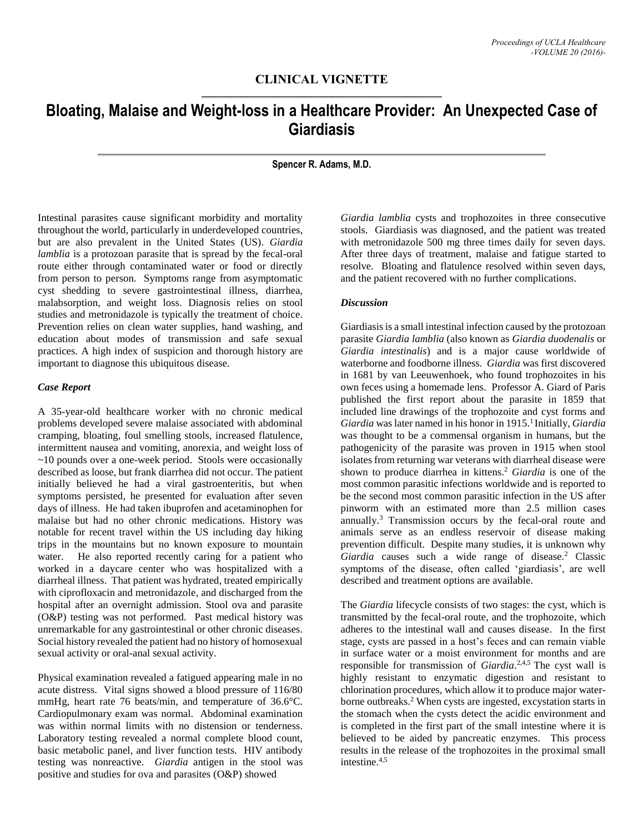## **CLINICAL VIGNETTE**

# **Bloating, Malaise and Weight-loss in a Healthcare Provider: An Unexpected Case of Giardiasis**

**Spencer R. Adams, M.D.**

Intestinal parasites cause significant morbidity and mortality throughout the world, particularly in underdeveloped countries, but are also prevalent in the United States (US). *Giardia lamblia* is a protozoan parasite that is spread by the fecal-oral route either through contaminated water or food or directly from person to person. Symptoms range from asymptomatic cyst shedding to severe gastrointestinal illness, diarrhea, malabsorption, and weight loss. Diagnosis relies on stool studies and metronidazole is typically the treatment of choice. Prevention relies on clean water supplies, hand washing, and education about modes of transmission and safe sexual practices. A high index of suspicion and thorough history are important to diagnose this ubiquitous disease.

#### *Case Report*

A 35-year-old healthcare worker with no chronic medical problems developed severe malaise associated with abdominal cramping, bloating, foul smelling stools, increased flatulence, intermittent nausea and vomiting, anorexia, and weight loss of ~10 pounds over a one-week period. Stools were occasionally described as loose, but frank diarrhea did not occur. The patient initially believed he had a viral gastroenteritis, but when symptoms persisted, he presented for evaluation after seven days of illness. He had taken ibuprofen and acetaminophen for malaise but had no other chronic medications. History was notable for recent travel within the US including day hiking trips in the mountains but no known exposure to mountain water. He also reported recently caring for a patient who worked in a daycare center who was hospitalized with a diarrheal illness. That patient was hydrated, treated empirically with ciprofloxacin and metronidazole, and discharged from the hospital after an overnight admission. Stool ova and parasite (O&P) testing was not performed. Past medical history was unremarkable for any gastrointestinal or other chronic diseases. Social history revealed the patient had no history of homosexual sexual activity or oral-anal sexual activity.

Physical examination revealed a fatigued appearing male in no acute distress. Vital signs showed a blood pressure of 116/80 mmHg, heart rate 76 beats/min, and temperature of 36.6°C. Cardiopulmonary exam was normal. Abdominal examination was within normal limits with no distension or tenderness. Laboratory testing revealed a normal complete blood count, basic metabolic panel, and liver function tests. HIV antibody testing was nonreactive. *Giardia* antigen in the stool was positive and studies for ova and parasites (O&P) showed

*Giardia lamblia* cysts and trophozoites in three consecutive stools. Giardiasis was diagnosed, and the patient was treated with metronidazole 500 mg three times daily for seven days. After three days of treatment, malaise and fatigue started to resolve. Bloating and flatulence resolved within seven days, and the patient recovered with no further complications.

#### *Discussion*

Giardiasis is a small intestinal infection caused by the protozoan parasite *Giardia lamblia* (also known as *Giardia duodenalis* or *Giardia intestinalis*) and is a major cause worldwide of waterborne and foodborne illness. *Giardia* was first discovered in 1681 by van Leeuwenhoek, who found trophozoites in his own feces using a homemade lens. Professor A. Giard of Paris published the first report about the parasite in 1859 that included line drawings of the trophozoite and cyst forms and *Giardia* was later named in his honor in 1915.<sup>1</sup> Initially, *Giardia* was thought to be a commensal organism in humans, but the pathogenicity of the parasite was proven in 1915 when stool isolates from returning war veterans with diarrheal disease were shown to produce diarrhea in kittens. <sup>2</sup> *Giardia* is one of the most common parasitic infections worldwide and is reported to be the second most common parasitic infection in the US after pinworm with an estimated more than 2.5 million cases annually.<sup>3</sup> Transmission occurs by the fecal-oral route and animals serve as an endless reservoir of disease making prevention difficult. Despite many studies, it is unknown why Giardia causes such a wide range of disease.<sup>2</sup> Classic symptoms of the disease, often called 'giardiasis', are well described and treatment options are available.

The *Giardia* lifecycle consists of two stages: the cyst, which is transmitted by the fecal-oral route, and the trophozoite, which adheres to the intestinal wall and causes disease. In the first stage, cysts are passed in a host's feces and can remain viable in surface water or a moist environment for months and are responsible for transmission of *Giardia*. 2,4,5 The cyst wall is highly resistant to enzymatic digestion and resistant to chlorination procedures, which allow it to produce major waterborne outbreaks. <sup>2</sup> When cysts are ingested, excystation starts in the stomach when the cysts detect the acidic environment and is completed in the first part of the small intestine where it is believed to be aided by pancreatic enzymes. This process results in the release of the trophozoites in the proximal small intestine. 4,5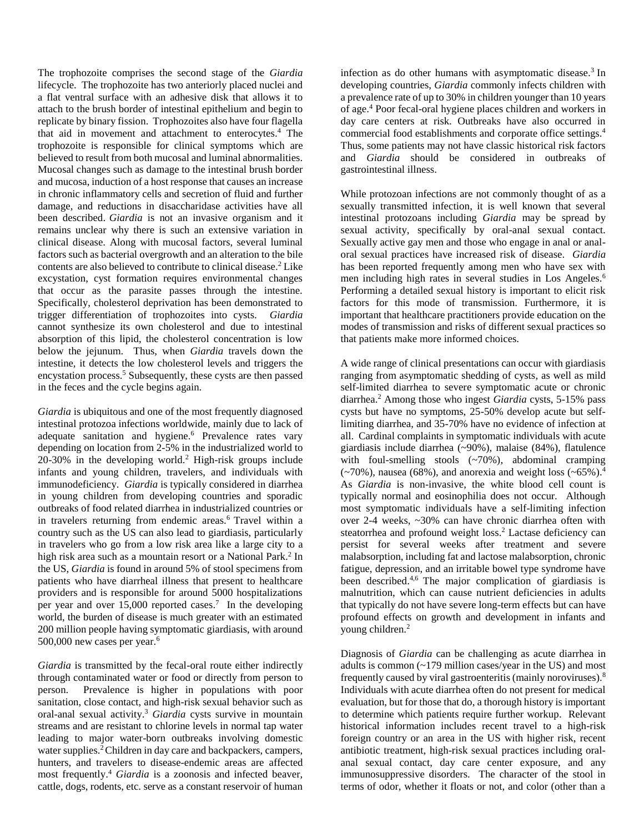The trophozoite comprises the second stage of the *Giardia* lifecycle. The trophozoite has two anteriorly placed nuclei and a flat ventral surface with an adhesive disk that allows it to attach to the brush border of intestinal epithelium and begin to replicate by binary fission. Trophozoites also have four flagella that aid in movement and attachment to enterocytes. <sup>4</sup> The trophozoite is responsible for clinical symptoms which are believed to result from both mucosal and luminal abnormalities. Mucosal changes such as damage to the intestinal brush border and mucosa, induction of a host response that causes an increase in chronic inflammatory cells and secretion of fluid and further damage, and reductions in disaccharidase activities have all been described. *Giardia* is not an invasive organism and it remains unclear why there is such an extensive variation in clinical disease. Along with mucosal factors, several luminal factors such as bacterial overgrowth and an alteration to the bile contents are also believed to contribute to clinical disease. <sup>2</sup> Like excystation, cyst formation requires environmental changes that occur as the parasite passes through the intestine. Specifically, cholesterol deprivation has been demonstrated to trigger differentiation of trophozoites into cysts. *Giardia* cannot synthesize its own cholesterol and due to intestinal absorption of this lipid, the cholesterol concentration is low below the jejunum. Thus, when *Giardia* travels down the intestine, it detects the low cholesterol levels and triggers the encystation process. <sup>5</sup> Subsequently, these cysts are then passed in the feces and the cycle begins again.

*Giardia* is ubiquitous and one of the most frequently diagnosed intestinal protozoa infections worldwide, mainly due to lack of adequate sanitation and hygiene.<sup>6</sup> Prevalence rates vary depending on location from 2-5% in the industrialized world to  $20-30\%$  in the developing world.<sup>2</sup> High-risk groups include infants and young children, travelers, and individuals with immunodeficiency. *Giardia* is typically considered in diarrhea in young children from developing countries and sporadic outbreaks of food related diarrhea in industrialized countries or in travelers returning from endemic areas.<sup>6</sup> Travel within a country such as the US can also lead to giardiasis, particularly in travelers who go from a low risk area like a large city to a high risk area such as a mountain resort or a National Park. 2 In the US, *Giardia* is found in around 5% of stool specimens from patients who have diarrheal illness that present to healthcare providers and is responsible for around 5000 hospitalizations per year and over 15,000 reported cases. 7 In the developing world, the burden of disease is much greater with an estimated 200 million people having symptomatic giardiasis, with around 500,000 new cases per year.<sup>6</sup>

*Giardia* is transmitted by the fecal-oral route either indirectly through contaminated water or food or directly from person to person. Prevalence is higher in populations with poor sanitation, close contact, and high-risk sexual behavior such as oral-anal sexual activity. <sup>3</sup> *Giardia* cysts survive in mountain streams and are resistant to chlorine levels in normal tap water leading to major water-born outbreaks involving domestic water supplies.<sup>2</sup>Children in day care and backpackers, campers, hunters, and travelers to disease-endemic areas are affected most frequently. <sup>4</sup> *Giardia* is a zoonosis and infected beaver, cattle, dogs, rodents, etc. serve as a constant reservoir of human

infection as do other humans with asymptomatic disease.<sup>3</sup> In developing countries, *Giardia* commonly infects children with a prevalence rate of up to 30% in children younger than 10 years of age. <sup>4</sup> Poor fecal-oral hygiene places children and workers in day care centers at risk. Outbreaks have also occurred in commercial food establishments and corporate office settings. 4 Thus, some patients may not have classic historical risk factors and *Giardia* should be considered in outbreaks of gastrointestinal illness.

While protozoan infections are not commonly thought of as a sexually transmitted infection, it is well known that several intestinal protozoans including *Giardia* may be spread by sexual activity, specifically by oral-anal sexual contact. Sexually active gay men and those who engage in anal or analoral sexual practices have increased risk of disease. *Giardia* has been reported frequently among men who have sex with men including high rates in several studies in Los Angeles.<sup>6</sup> Performing a detailed sexual history is important to elicit risk factors for this mode of transmission. Furthermore, it is important that healthcare practitioners provide education on the modes of transmission and risks of different sexual practices so that patients make more informed choices.

A wide range of clinical presentations can occur with giardiasis ranging from asymptomatic shedding of cysts, as well as mild self-limited diarrhea to severe symptomatic acute or chronic diarrhea. <sup>2</sup> Among those who ingest *Giardia* cysts, 5-15% pass cysts but have no symptoms, 25-50% develop acute but selflimiting diarrhea, and 35-70% have no evidence of infection at all. Cardinal complaints in symptomatic individuals with acute giardiasis include diarrhea (~90%), malaise (84%), flatulence with foul-smelling stools  $({\sim}70\%)$ , abdominal cramping  $(\sim 70\%)$ , nausea (68%), and anorexia and weight loss ( $\sim 65\%$ ).<sup>4</sup> As *Giardia* is non-invasive, the white blood cell count is typically normal and eosinophilia does not occur. Although most symptomatic individuals have a self-limiting infection over 2-4 weeks, ~30% can have chronic diarrhea often with steatorrhea and profound weight loss. <sup>2</sup> Lactase deficiency can persist for several weeks after treatment and severe malabsorption, including fat and lactose malabsorption, chronic fatigue, depression, and an irritable bowel type syndrome have been described.<sup>4,6</sup> The major complication of giardiasis is malnutrition, which can cause nutrient deficiencies in adults that typically do not have severe long-term effects but can have profound effects on growth and development in infants and young children.<sup>2</sup>

Diagnosis of *Giardia* can be challenging as acute diarrhea in adults is common (~179 million cases/year in the US) and most frequently caused by viral gastroenteritis (mainly noroviruses).<sup>8</sup> Individuals with acute diarrhea often do not present for medical evaluation, but for those that do, a thorough history is important to determine which patients require further workup. Relevant historical information includes recent travel to a high-risk foreign country or an area in the US with higher risk, recent antibiotic treatment, high-risk sexual practices including oralanal sexual contact, day care center exposure, and any immunosuppressive disorders. The character of the stool in terms of odor, whether it floats or not, and color (other than a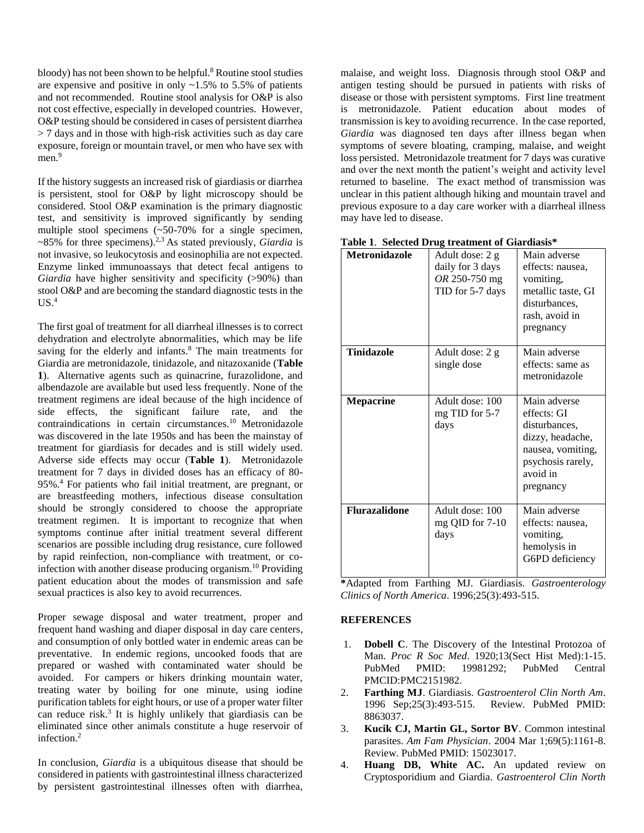bloody) has not been shown to be helpful. <sup>8</sup> Routine stool studies are expensive and positive in only  $~1.5\%$  to 5.5% of patients and not recommended. Routine stool analysis for O&P is also not cost effective, especially in developed countries. However, O&P testing should be considered in cases of persistent diarrhea > 7 days and in those with high-risk activities such as day care exposure, foreign or mountain travel, or men who have sex with men.<sup>9</sup>

If the history suggests an increased risk of giardiasis or diarrhea is persistent, stool for O&P by light microscopy should be considered. Stool O&P examination is the primary diagnostic test, and sensitivity is improved significantly by sending multiple stool specimens (~50-70% for a single specimen, ~85% for three specimens).2,3 As stated previously, *Giardia* is not invasive, so leukocytosis and eosinophilia are not expected. Enzyme linked immunoassays that detect fecal antigens to *Giardia* have higher sensitivity and specificity (>90%) than stool O&P and are becoming the standard diagnostic tests in the  $US.^4$ 

The first goal of treatment for all diarrheal illnesses is to correct dehydration and electrolyte abnormalities, which may be life saving for the elderly and infants.<sup>8</sup> The main treatments for Giardia are metronidazole, tinidazole, and nitazoxanide (**Table 1**). Alternative agents such as quinacrine, furazolidone, and albendazole are available but used less frequently. None of the treatment regimens are ideal because of the high incidence of side effects, the significant failure rate, and the  $contradications$  in certain circumstances.<sup>10</sup> Metronidazole was discovered in the late 1950s and has been the mainstay of treatment for giardiasis for decades and is still widely used. Adverse side effects may occur (**Table 1**). Metronidazole treatment for 7 days in divided doses has an efficacy of 80- 95%. <sup>4</sup> For patients who fail initial treatment, are pregnant, or are breastfeeding mothers, infectious disease consultation should be strongly considered to choose the appropriate treatment regimen. It is important to recognize that when symptoms continue after initial treatment several different scenarios are possible including drug resistance, cure followed by rapid reinfection, non-compliance with treatment, or coinfection with another disease producing organism. <sup>10</sup> Providing patient education about the modes of transmission and safe sexual practices is also key to avoid recurrences.

Proper sewage disposal and water treatment, proper and frequent hand washing and diaper disposal in day care centers, and consumption of only bottled water in endemic areas can be preventative. In endemic regions, uncooked foods that are prepared or washed with contaminated water should be avoided. For campers or hikers drinking mountain water, treating water by boiling for one minute, using iodine purification tablets for eight hours, or use of a proper water filter can reduce risk. 3 It is highly unlikely that giardiasis can be eliminated since other animals constitute a huge reservoir of infection. 2

In conclusion, *Giardia* is a ubiquitous disease that should be considered in patients with gastrointestinal illness characterized by persistent gastrointestinal illnesses often with diarrhea,

malaise, and weight loss. Diagnosis through stool O&P and antigen testing should be pursued in patients with risks of disease or those with persistent symptoms. First line treatment is metronidazole. Patient education about modes of transmission is key to avoiding recurrence. In the case reported, *Giardia* was diagnosed ten days after illness began when symptoms of severe bloating, cramping, malaise, and weight loss persisted. Metronidazole treatment for 7 days was curative and over the next month the patient's weight and activity level returned to baseline. The exact method of transmission was unclear in this patient although hiking and mountain travel and previous exposure to a day care worker with a diarrheal illness may have led to disease.

| <b>Metronidazole</b> | Adult dose: 2 g<br>daily for 3 days<br>OR 250-750 mg<br>TID for 5-7 days | Main adverse<br>effects: nausea,<br>vomiting,<br>metallic taste, GI<br>disturbances,<br>rash, avoid in<br>pregnancy                 |
|----------------------|--------------------------------------------------------------------------|-------------------------------------------------------------------------------------------------------------------------------------|
| <b>Tinidazole</b>    | Adult dose: 2 g<br>single dose                                           | Main adverse<br>effects: same as<br>metronidazole                                                                                   |
| <b>Mepacrine</b>     | Adult dose: 100<br>mg TID for 5-7<br>days                                | Main adverse<br>effects: GI<br>disturbances.<br>dizzy, headache,<br>nausea, vomiting,<br>psychosis rarely,<br>avoid in<br>pregnancy |
| <b>Flurazalidone</b> | Adult dose: 100<br>mg QID for 7-10<br>days                               | Main adverse<br>effects: nausea,<br>vomiting,<br>hemolysis in<br>G6PD deficiency                                                    |

**\***Adapted from Farthing MJ. Giardiasis. *Gastroenterology Clinics of North America*. 1996;25(3):493-515.

### **REFERENCES**

- 1. **Dobell C**. The Discovery of the Intestinal Protozoa of Man. *Proc R Soc Med*. 1920;13(Sect Hist Med):1-15. PubMed PMID: 19981292; PubMed Central PMCID:PMC2151982.
- 2. **Farthing MJ**. Giardiasis. *Gastroenterol Clin North Am*. 1996 Sep;25(3):493-515. Review. PubMed PMID: 8863037.
- 3. **Kucik CJ, Martin GL, Sortor BV**. Common intestinal parasites. *Am Fam Physician*. 2004 Mar 1;69(5):1161-8. Review. PubMed PMID: 15023017.
- 4. **Huang DB, White AC.** An updated review on Cryptosporidium and Giardia. *Gastroenterol Clin North*